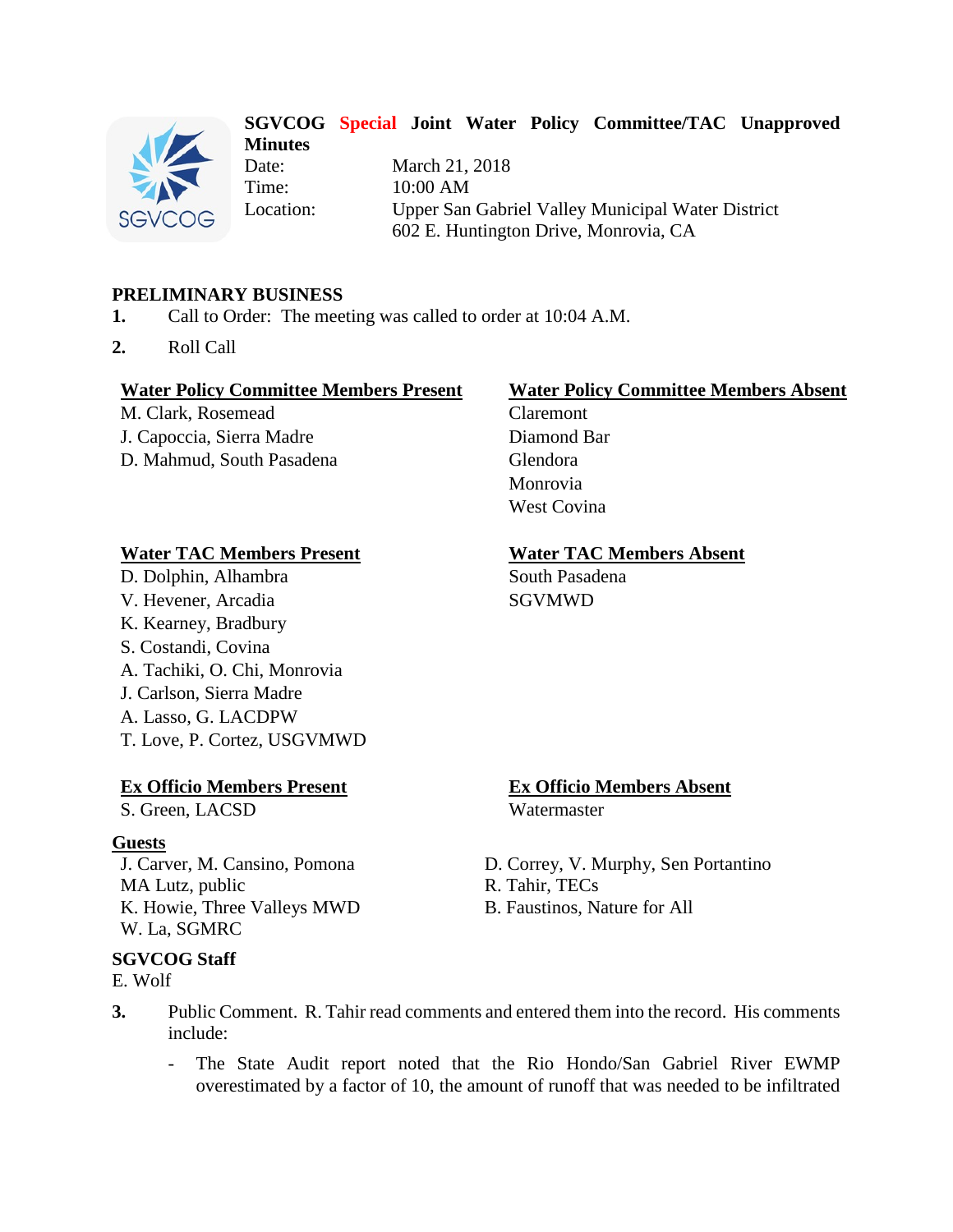

#### **SGVCOG Special Joint Water Policy Committee/TAC Unapproved Minutes**

Date: March 21, 2018 Time: 10:00 AM Location: Upper San Gabriel Valley Municipal Water District 602 E. Huntington Drive, Monrovia, CA

### **PRELIMINARY BUSINESS**

- **1.** Call to Order: The meeting was called to order at 10:04 A.M.
- **2.** Roll Call

#### **Water Policy Committee Members Present Water Policy Committee Members Absent**

M. Clark, Rosemead Claremont J. Capoccia, Sierra Madre Diamond Bar D. Mahmud, South Pasadena Glendora

#### **Water TAC Members Present Water TAC Members Absent**

D. Dolphin, Alhambra South Pasadena V. Hevener, Arcadia SGVMWD K. Kearney, Bradbury S. Costandi, Covina A. Tachiki, O. Chi, Monrovia J. Carlson, Sierra Madre A. Lasso, G. LACDPW T. Love, P. Cortez, USGVMWD

#### **Ex Officio Members Present Ex Officio Members Absent**

S. Green, LACSD Watermaster

#### **Guests**

MA Lutz, public <br>
K. Howie, Three Valleys MWD <br>
R. Tahir, TECs<br>
B. Faustinos, Nature for All K. Howie, Three Valleys MWD W. La, SGMRC

#### **SGVCOG Staff**

E. Wolf

Monrovia West Covina

- J. Carver, M. Cansino, Pomona D. Correy, V. Murphy, Sen Portantino
	-
	-
- **3.** Public Comment. R. Tahir read comments and entered them into the record. His comments include:
	- The State Audit report noted that the Rio Hondo/San Gabriel River EWMP overestimated by a factor of 10, the amount of runoff that was needed to be infiltrated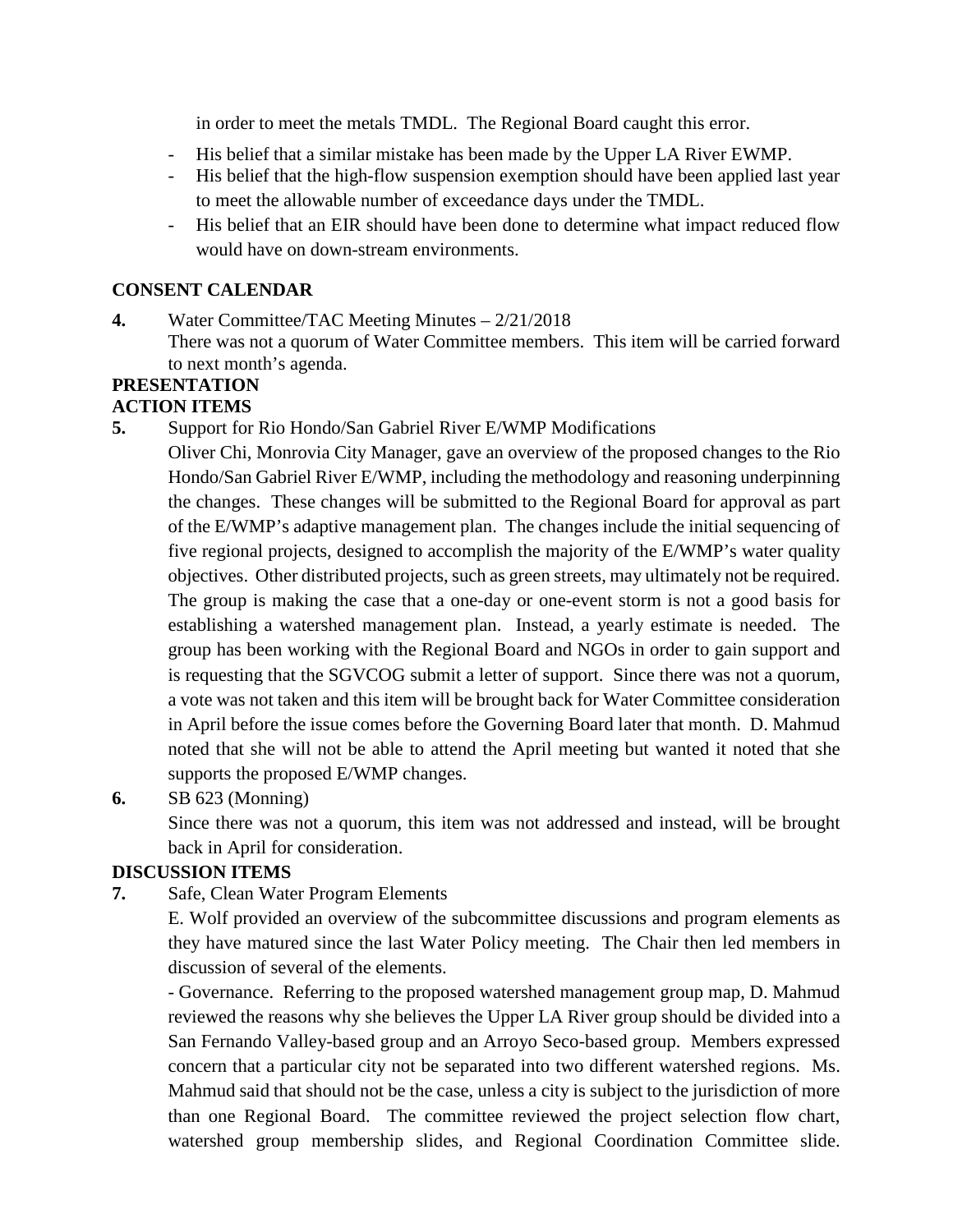in order to meet the metals TMDL. The Regional Board caught this error.

- His belief that a similar mistake has been made by the Upper LA River EWMP.
- His belief that the high-flow suspension exemption should have been applied last year to meet the allowable number of exceedance days under the TMDL.
- His belief that an EIR should have been done to determine what impact reduced flow would have on down-stream environments.

### **CONSENT CALENDAR**

**4.** Water Committee/TAC Meeting Minutes – 2/21/2018 There was not a quorum of Water Committee members. This item will be carried forward to next month's agenda.

# **PRESENTATION**

#### **ACTION ITEMS**

**5.** Support for Rio Hondo/San Gabriel River E/WMP Modifications

Oliver Chi, Monrovia City Manager, gave an overview of the proposed changes to the Rio Hondo/San Gabriel River E/WMP, including the methodology and reasoning underpinning the changes. These changes will be submitted to the Regional Board for approval as part of the E/WMP's adaptive management plan. The changes include the initial sequencing of five regional projects, designed to accomplish the majority of the E/WMP's water quality objectives. Other distributed projects, such as green streets, may ultimately not be required. The group is making the case that a one-day or one-event storm is not a good basis for establishing a watershed management plan. Instead, a yearly estimate is needed. The group has been working with the Regional Board and NGOs in order to gain support and is requesting that the SGVCOG submit a letter of support. Since there was not a quorum, a vote was not taken and this item will be brought back for Water Committee consideration in April before the issue comes before the Governing Board later that month. D. Mahmud noted that she will not be able to attend the April meeting but wanted it noted that she supports the proposed E/WMP changes.

**6.** SB 623 (Monning)

Since there was not a quorum, this item was not addressed and instead, will be brought back in April for consideration.

## **DISCUSSION ITEMS**

**7.** Safe, Clean Water Program Elements

E. Wolf provided an overview of the subcommittee discussions and program elements as they have matured since the last Water Policy meeting. The Chair then led members in discussion of several of the elements.

- Governance. Referring to the proposed watershed management group map, D. Mahmud reviewed the reasons why she believes the Upper LA River group should be divided into a San Fernando Valley-based group and an Arroyo Seco-based group. Members expressed concern that a particular city not be separated into two different watershed regions. Ms. Mahmud said that should not be the case, unless a city is subject to the jurisdiction of more than one Regional Board. The committee reviewed the project selection flow chart, watershed group membership slides, and Regional Coordination Committee slide.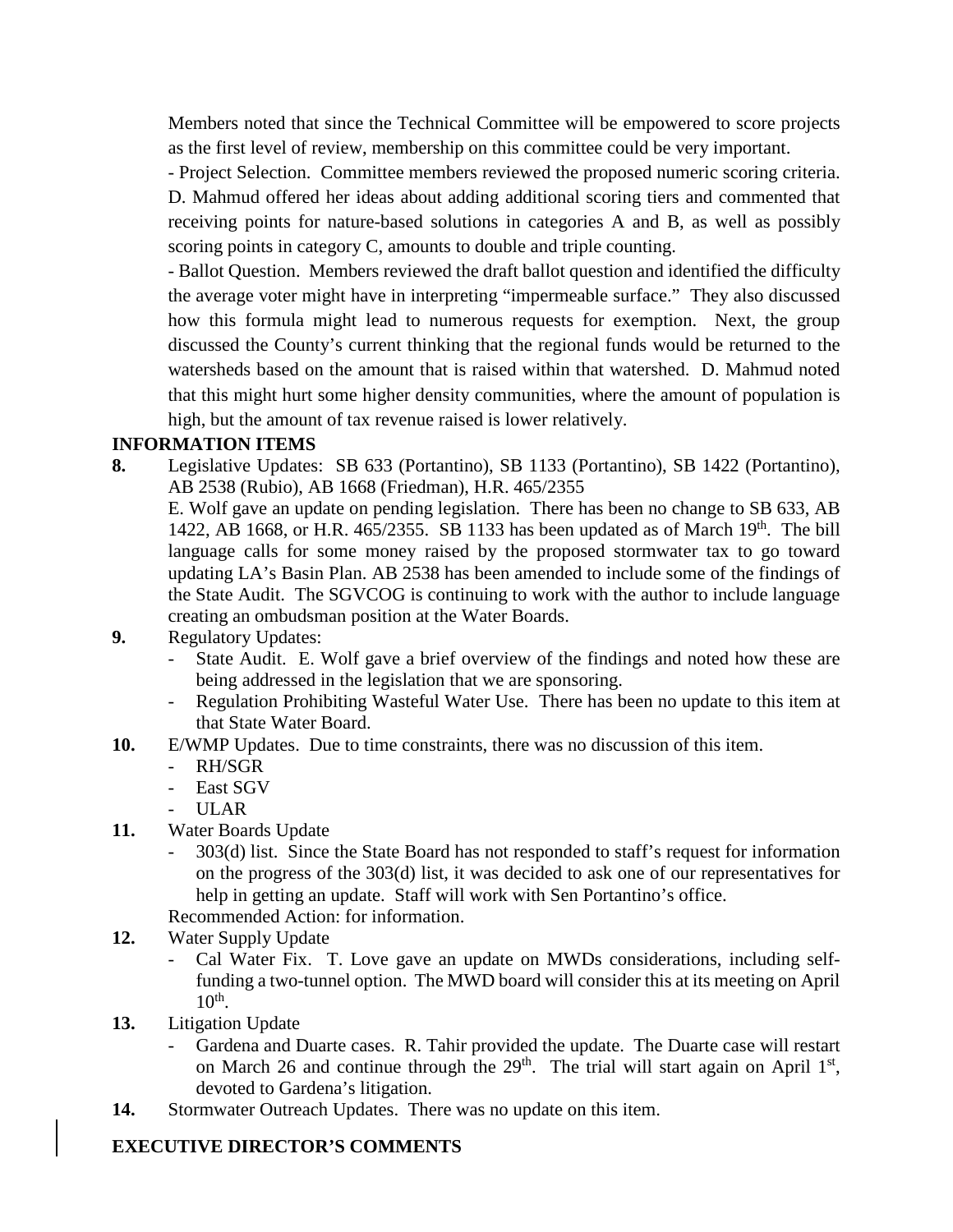Members noted that since the Technical Committee will be empowered to score projects as the first level of review, membership on this committee could be very important.

- Project Selection. Committee members reviewed the proposed numeric scoring criteria. D. Mahmud offered her ideas about adding additional scoring tiers and commented that receiving points for nature-based solutions in categories A and B, as well as possibly scoring points in category C, amounts to double and triple counting.

- Ballot Question. Members reviewed the draft ballot question and identified the difficulty the average voter might have in interpreting "impermeable surface." They also discussed how this formula might lead to numerous requests for exemption. Next, the group discussed the County's current thinking that the regional funds would be returned to the watersheds based on the amount that is raised within that watershed. D. Mahmud noted that this might hurt some higher density communities, where the amount of population is high, but the amount of tax revenue raised is lower relatively.

## **INFORMATION ITEMS**

**8.** Legislative Updates: SB 633 (Portantino), SB 1133 (Portantino), SB 1422 (Portantino), AB 2538 (Rubio), AB 1668 (Friedman), H.R. 465/2355

E. Wolf gave an update on pending legislation. There has been no change to SB 633, AB 1422, AB 1668, or H.R. 465/2355. SB 1133 has been updated as of March  $19<sup>th</sup>$ . The bill language calls for some money raised by the proposed stormwater tax to go toward updating LA's Basin Plan. AB 2538 has been amended to include some of the findings of the State Audit. The SGVCOG is continuing to work with the author to include language creating an ombudsman position at the Water Boards.

- **9.** Regulatory Updates:
	- State Audit. E. Wolf gave a brief overview of the findings and noted how these are being addressed in the legislation that we are sponsoring.
	- Regulation Prohibiting Wasteful Water Use. There has been no update to this item at that State Water Board.
- **10.** E/WMP Updates. Due to time constraints, there was no discussion of this item.
	- RH/SGR
	- East SGV
	- ULAR
- **11.** Water Boards Update
	- 303(d) list. Since the State Board has not responded to staff's request for information on the progress of the 303(d) list, it was decided to ask one of our representatives for help in getting an update. Staff will work with Sen Portantino's office.

Recommended Action: for information.

- **12.** Water Supply Update
	- Cal Water Fix. T. Love gave an update on MWDs considerations, including selffunding a two-tunnel option. The MWD board will consider this at its meeting on April  $10<sup>th</sup>$ .
- **13.** Litigation Update
	- Gardena and Duarte cases. R. Tahir provided the update. The Duarte case will restart on March 26 and continue through the  $29<sup>th</sup>$ . The trial will start again on April 1<sup>st</sup>, devoted to Gardena's litigation.
- **14.** Stormwater Outreach Updates. There was no update on this item.

## **EXECUTIVE DIRECTOR'S COMMENTS**